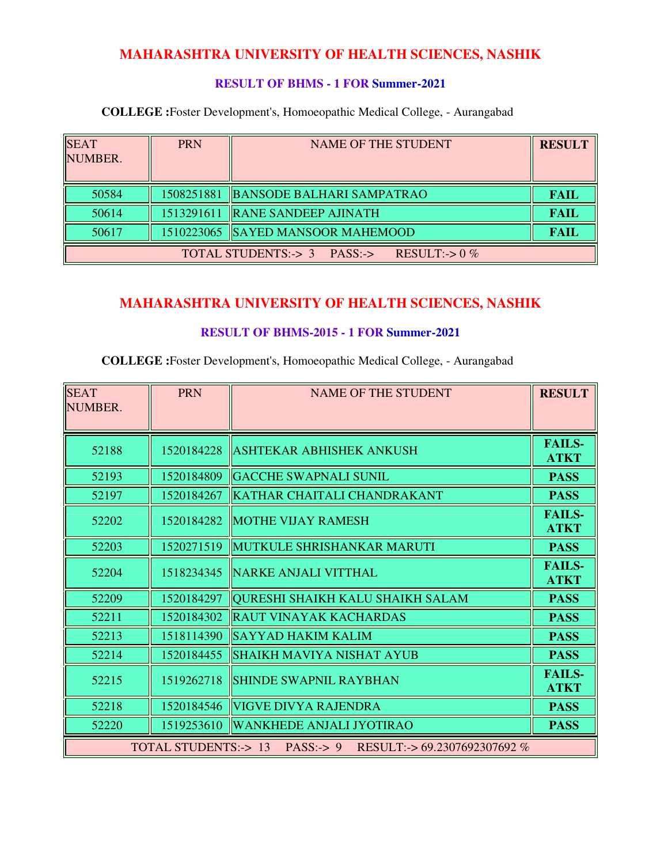#### **RESULT OF BHMS - 1 FOR Summer-2021**

**COLLEGE :**Foster Development's, Homoeopathic Medical College, - Aurangabad

| <b>SEAT</b><br>NUMBER.                         | <b>PRN</b> | <b>NAME OF THE STUDENT</b>           | <b>RESULT</b> |
|------------------------------------------------|------------|--------------------------------------|---------------|
| 50584                                          |            | 1508251881 BANSODE BALHARI SAMPATRAO | <b>FAIL</b>   |
| 50614                                          |            | 1513291611   RANE SANDEEP AJINATH    | <b>FAIL</b>   |
| 50617                                          |            | 1510223065 SAYED MANSOOR MAHEMOOD    | <b>FAIL</b>   |
| TOTAL STUDENTS:-> 3 PASS:-><br>RESULT:-> $0\%$ |            |                                      |               |

# **MAHARASHTRA UNIVERSITY OF HEALTH SCIENCES, NASHIK**

#### **RESULT OF BHMS-2015 - 1 FOR Summer-2021**

| <b>SEAT</b><br>NUMBER.                                         | <b>PRN</b> | <b>NAME OF THE STUDENT</b>              | <b>RESULT</b>                |
|----------------------------------------------------------------|------------|-----------------------------------------|------------------------------|
| 52188                                                          | 1520184228 | <b>ASHTEKAR ABHISHEK ANKUSH</b>         | <b>FAILS-</b><br><b>ATKT</b> |
| 52193                                                          | 1520184809 | <b>GACCHE SWAPNALI SUNIL</b>            | <b>PASS</b>                  |
| 52197                                                          | 1520184267 | KATHAR CHAITALI CHANDRAKANT             | <b>PASS</b>                  |
| 52202                                                          | 1520184282 | <b>MOTHE VIJAY RAMESH</b>               | <b>FAILS-</b><br><b>ATKT</b> |
| 52203                                                          | 1520271519 | MUTKULE SHRISHANKAR MARUTI              | <b>PASS</b>                  |
| 52204                                                          | 1518234345 | NARKE ANJALI VITTHAL                    | <b>FAILS-</b><br><b>ATKT</b> |
| 52209                                                          | 1520184297 | <b>QURESHI SHAIKH KALU SHAIKH SALAM</b> | <b>PASS</b>                  |
| 52211                                                          | 1520184302 | <b>RAUT VINAYAK KACHARDAS</b>           | <b>PASS</b>                  |
| 52213                                                          | 1518114390 | SAYYAD HAKIM KALIM                      | <b>PASS</b>                  |
| 52214                                                          | 1520184455 | <b>SHAIKH MAVIYA NISHAT AYUB</b>        | <b>PASS</b>                  |
| 52215                                                          | 1519262718 | <b>SHINDE SWAPNIL RAYBHAN</b>           | <b>FAILS-</b><br><b>ATKT</b> |
| 52218                                                          | 1520184546 | VIGVE DIVYA RAJENDRA                    | <b>PASS</b>                  |
| 52220                                                          | 1519253610 | <b>WANKHEDE ANJALI JYOTIRAO</b>         | <b>PASS</b>                  |
| TOTAL STUDENTS: -> 13 PASS: -> 9 RESULT: -> 69.2307692307692 % |            |                                         |                              |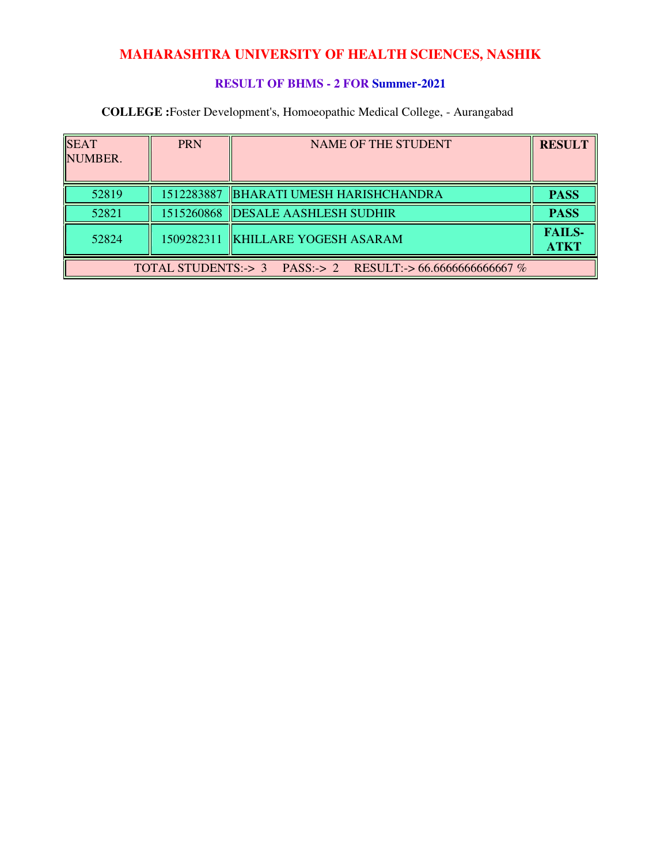### **RESULT OF BHMS - 2 FOR Summer-2021**

| <b>SEAT</b><br>NUMBER.                                      | <b>PRN</b> | <b>NAME OF THE STUDENT</b>             | <b>RESULT</b>                |  |
|-------------------------------------------------------------|------------|----------------------------------------|------------------------------|--|
|                                                             |            |                                        |                              |  |
| 52819                                                       |            | 1512283887 BHARATI UMESH HARISHCHANDRA | <b>PASS</b>                  |  |
| 52821                                                       |            | 1515260868  DESALE AASHLESH SUDHIR     | <b>PASS</b>                  |  |
| 52824                                                       |            | 1509282311 KHILLARE YOGESH ASARAM      | <b>FAILS-</b><br><b>ATKT</b> |  |
| TOTAL STUDENTS:-> 3 PASS:-> 2 RESULT:-> 66.66666666666667 % |            |                                        |                              |  |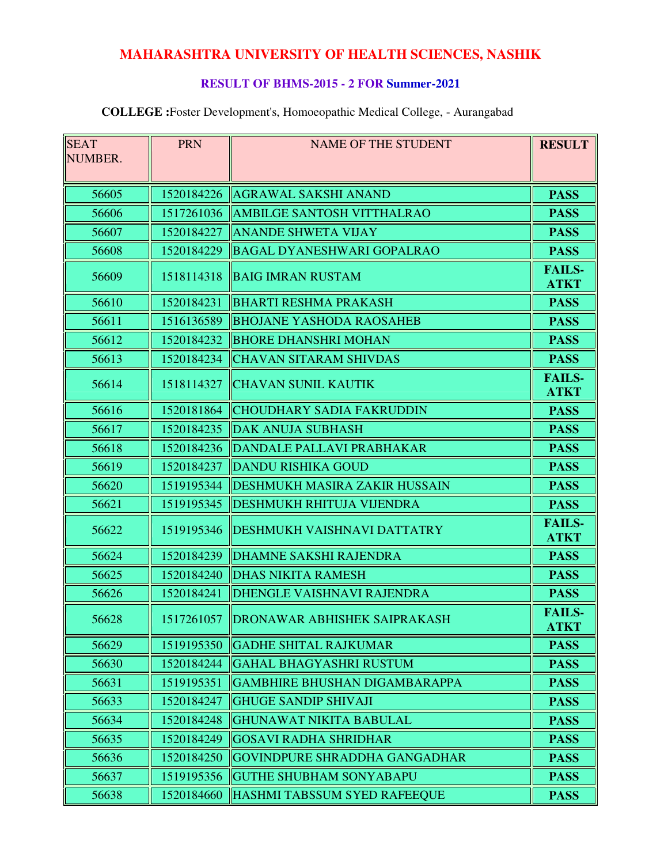### **RESULT OF BHMS-2015 - 2 FOR Summer-2021**

| <b>SEAT</b> | <b>PRN</b> | <b>NAME OF THE STUDENT</b>                | <b>RESULT</b>                |
|-------------|------------|-------------------------------------------|------------------------------|
| NUMBER.     |            |                                           |                              |
|             |            |                                           |                              |
| 56605       | 1520184226 | <b>AGRAWAL SAKSHI ANAND</b>               | <b>PASS</b>                  |
| 56606       | 1517261036 | <b>AMBILGE SANTOSH VITTHALRAO</b>         | <b>PASS</b>                  |
| 56607       | 1520184227 | <b>ANANDE SHWETA VIJAY</b>                | <b>PASS</b>                  |
| 56608       | 1520184229 | BAGAL DYANESHWARI GOPALRAO                | <b>PASS</b>                  |
| 56609       | 1518114318 | <b>BAIG IMRAN RUSTAM</b>                  | <b>FAILS-</b><br><b>ATKT</b> |
| 56610       | 1520184231 | <b>BHARTI RESHMA PRAKASH</b>              | <b>PASS</b>                  |
| 56611       | 1516136589 | <b>BHOJANE YASHODA RAOSAHEB</b>           | <b>PASS</b>                  |
| 56612       | 1520184232 | <b>BHORE DHANSHRI MOHAN</b>               | <b>PASS</b>                  |
| 56613       | 1520184234 | <b>CHAVAN SITARAM SHIVDAS</b>             | <b>PASS</b>                  |
| 56614       | 1518114327 | <b>CHAVAN SUNIL KAUTIK</b>                | <b>FAILS-</b><br><b>ATKT</b> |
| 56616       | 1520181864 | <b>CHOUDHARY SADIA FAKRUDDIN</b>          | <b>PASS</b>                  |
| 56617       | 1520184235 | <b>DAK ANUJA SUBHASH</b>                  | <b>PASS</b>                  |
| 56618       | 1520184236 | DANDALE PALLAVI PRABHAKAR                 | <b>PASS</b>                  |
| 56619       | 1520184237 | <b>DANDU RISHIKA GOUD</b>                 | <b>PASS</b>                  |
| 56620       | 1519195344 | <b>DESHMUKH MASIRA ZAKIR HUSSAIN</b>      | <b>PASS</b>                  |
| 56621       | 1519195345 | <b>DESHMUKH RHITUJA VIJENDRA</b>          | <b>PASS</b>                  |
| 56622       | 1519195346 | DESHMUKH VAISHNAVI DATTATRY               | <b>FAILS-</b><br><b>ATKT</b> |
| 56624       | 1520184239 | <b>DHAMNE SAKSHI RAJENDRA</b>             | <b>PASS</b>                  |
| 56625       | 1520184240 | <b>DHAS NIKITA RAMESH</b>                 | <b>PASS</b>                  |
| 56626       | 1520184241 | DHENGLE VAISHNAVI RAJENDRA                | <b>PASS</b>                  |
| 56628       |            | 1517261057   DRONAWAR ABHISHEK SAIPRAKASH | <b>FAILS-</b><br><b>ATKT</b> |
| 56629       | 1519195350 | <b>GADHE SHITAL RAJKUMAR</b>              | <b>PASS</b>                  |
| 56630       | 1520184244 | <b>GAHAL BHAGYASHRI RUSTUM</b>            | <b>PASS</b>                  |
| 56631       | 1519195351 | <b>GAMBHIRE BHUSHAN DIGAMBARAPPA</b>      | <b>PASS</b>                  |
| 56633       | 1520184247 | <b>GHUGE SANDIP SHIVAJI</b>               | <b>PASS</b>                  |
| 56634       | 1520184248 | <b>GHUNAWAT NIKITA BABULAL</b>            | <b>PASS</b>                  |
| 56635       | 1520184249 | <b>GOSAVI RADHA SHRIDHAR</b>              | <b>PASS</b>                  |
| 56636       | 1520184250 | <b>GOVINDPURE SHRADDHA GANGADHAR</b>      | <b>PASS</b>                  |
| 56637       | 1519195356 | <b>GUTHE SHUBHAM SONYABAPU</b>            | <b>PASS</b>                  |
| 56638       | 1520184660 | HASHMI TABSSUM SYED RAFEEQUE              | <b>PASS</b>                  |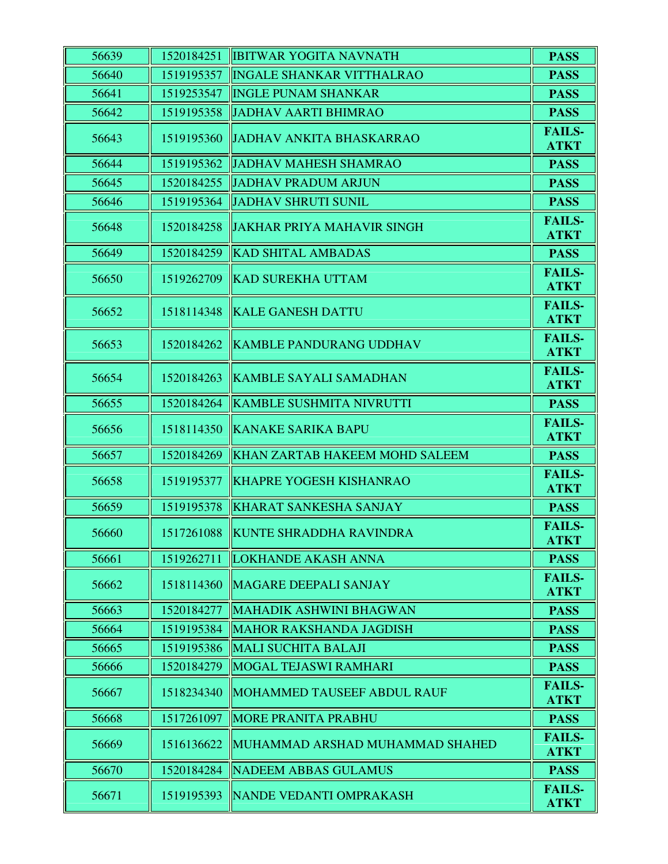| 56639 | 1520184251 | <b>IBITWAR YOGITA NAVNATH</b>      | <b>PASS</b>                  |
|-------|------------|------------------------------------|------------------------------|
| 56640 | 1519195357 | <b>INGALE SHANKAR VITTHALRAO</b>   | <b>PASS</b>                  |
| 56641 | 1519253547 | <b>INGLE PUNAM SHANKAR</b>         | <b>PASS</b>                  |
| 56642 | 1519195358 | <b>JADHAV AARTI BHIMRAO</b>        | <b>PASS</b>                  |
| 56643 | 1519195360 | <b>JADHAV ANKITA BHASKARRAO</b>    | <b>FAILS-</b><br><b>ATKT</b> |
| 56644 | 1519195362 | <b>JADHAV MAHESH SHAMRAO</b>       | <b>PASS</b>                  |
| 56645 | 1520184255 | <b>JADHAV PRADUM ARJUN</b>         | <b>PASS</b>                  |
| 56646 | 1519195364 | <b>JADHAV SHRUTI SUNIL</b>         | <b>PASS</b>                  |
| 56648 | 1520184258 | <b>JAKHAR PRIYA MAHAVIR SINGH</b>  | <b>FAILS-</b><br><b>ATKT</b> |
| 56649 | 1520184259 | <b>KAD SHITAL AMBADAS</b>          | <b>PASS</b>                  |
| 56650 | 1519262709 | <b>KAD SUREKHA UTTAM</b>           | <b>FAILS-</b><br><b>ATKT</b> |
| 56652 | 1518114348 | <b>KALE GANESH DATTU</b>           | <b>FAILS-</b><br><b>ATKT</b> |
| 56653 | 1520184262 | <b>KAMBLE PANDURANG UDDHAV</b>     | <b>FAILS-</b><br><b>ATKT</b> |
| 56654 | 1520184263 | <b>KAMBLE SAYALI SAMADHAN</b>      | <b>FAILS-</b><br><b>ATKT</b> |
| 56655 | 1520184264 | <b>KAMBLE SUSHMITA NIVRUTTI</b>    | <b>PASS</b>                  |
| 56656 | 1518114350 | <b>KANAKE SARIKA BAPU</b>          | <b>FAILS-</b><br><b>ATKT</b> |
| 56657 | 1520184269 | KHAN ZARTAB HAKEEM MOHD SALEEM     | <b>PASS</b>                  |
| 56658 | 1519195377 | <b>KHAPRE YOGESH KISHANRAO</b>     | <b>FAILS-</b><br><b>ATKT</b> |
| 56659 | 1519195378 | <b>KHARAT SANKESHA SANJAY</b>      | <b>PASS</b>                  |
| 56660 |            | 1517261088 KUNTE SHRADDHA RAVINDRA | <b>FAILS-</b><br><b>ATKT</b> |
| 56661 | 1519262711 | <b>LOKHANDE AKASH ANNA</b>         | <b>PASS</b>                  |
| 56662 | 1518114360 | MAGARE DEEPALI SANJAY              | <b>FAILS-</b><br><b>ATKT</b> |
| 56663 | 1520184277 | MAHADIK ASHWINI BHAGWAN            | <b>PASS</b>                  |
| 56664 | 1519195384 | <b>MAHOR RAKSHANDA JAGDISH</b>     | <b>PASS</b>                  |
| 56665 | 1519195386 | MALI SUCHITA BALAJI                | <b>PASS</b>                  |
| 56666 | 1520184279 | MOGAL TEJASWI RAMHARI              | <b>PASS</b>                  |
| 56667 | 1518234340 | MOHAMMED TAUSEEF ABDUL RAUF        | <b>FAILS-</b><br><b>ATKT</b> |
| 56668 | 1517261097 | <b>MORE PRANITA PRABHU</b>         | <b>PASS</b>                  |
| 56669 | 1516136622 | MUHAMMAD ARSHAD MUHAMMAD SHAHED    | <b>FAILS-</b><br><b>ATKT</b> |
| 56670 | 1520184284 | <b>NADEEM ABBAS GULAMUS</b>        | <b>PASS</b>                  |
| 56671 | 1519195393 | NANDE VEDANTI OMPRAKASH            | <b>FAILS-</b><br><b>ATKT</b> |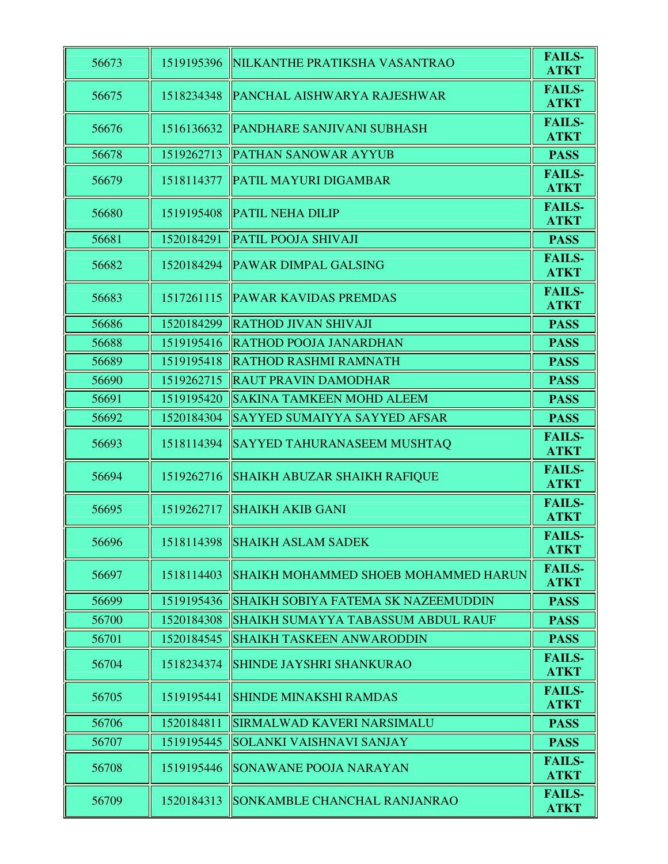| 56673 | 1519195396 | NILKANTHE PRATIKSHA VASANTRAO               | <b>FAILS-</b><br><b>ATKT</b> |
|-------|------------|---------------------------------------------|------------------------------|
| 56675 | 1518234348 | <b>PANCHAL AISHWARYA RAJESHWAR</b>          | <b>FAILS-</b><br><b>ATKT</b> |
| 56676 | 1516136632 | PANDHARE SANJIVANI SUBHASH                  | <b>FAILS-</b><br><b>ATKT</b> |
| 56678 | 1519262713 | <b>PATHAN SANOWAR AYYUB</b>                 | <b>PASS</b>                  |
| 56679 | 1518114377 | <b>PATIL MAYURI DIGAMBAR</b>                | <b>FAILS-</b><br><b>ATKT</b> |
| 56680 | 1519195408 | <b>PATIL NEHA DILIP</b>                     | <b>FAILS-</b><br><b>ATKT</b> |
| 56681 | 1520184291 | <b>PATIL POOJA SHIVAJI</b>                  | <b>PASS</b>                  |
| 56682 | 1520184294 | <b>PAWAR DIMPAL GALSING</b>                 | <b>FAILS-</b><br><b>ATKT</b> |
| 56683 | 1517261115 | <b>PAWAR KAVIDAS PREMDAS</b>                | <b>FAILS-</b><br><b>ATKT</b> |
| 56686 | 1520184299 | <b>RATHOD JIVAN SHIVAJI</b>                 | <b>PASS</b>                  |
| 56688 | 1519195416 | <b>RATHOD POOJA JANARDHAN</b>               | <b>PASS</b>                  |
| 56689 | 1519195418 | <b>RATHOD RASHMI RAMNATH</b>                | <b>PASS</b>                  |
| 56690 | 1519262715 | <b>RAUT PRAVIN DAMODHAR</b>                 | <b>PASS</b>                  |
| 56691 | 1519195420 | <b>SAKINA TAMKEEN MOHD ALEEM</b>            | <b>PASS</b>                  |
| 56692 | 1520184304 | SAYYED SUMAIYYA SAYYED AFSAR                | <b>PASS</b>                  |
| 56693 | 1518114394 | <b>SAYYED TAHURANASEEM MUSHTAQ</b>          | <b>FAILS-</b><br><b>ATKT</b> |
| 56694 | 1519262716 | <b>SHAIKH ABUZAR SHAIKH RAFIQUE</b>         | <b>FAILS-</b><br><b>ATKT</b> |
| 56695 | 1519262717 | <b>SHAIKH AKIB GANI</b>                     | <b>FAILS-</b><br><b>ATKT</b> |
| 56696 | 1518114398 | <b>SHAIKH ASLAM SADEK</b>                   | <b>FAILS-</b><br><b>ATKT</b> |
| 56697 | 1518114403 | <b>SHAIKH MOHAMMED SHOEB MOHAMMED HARUN</b> | <b>FAILS-</b><br><b>ATKT</b> |
| 56699 | 1519195436 | SHAIKH SOBIYA FATEMA SK NAZEEMUDDIN         | <b>PASS</b>                  |
| 56700 | 1520184308 | <b>SHAIKH SUMAYYA TABASSUM ABDUL RAUF</b>   | <b>PASS</b>                  |
| 56701 | 1520184545 | <b>SHAIKH TASKEEN ANWARODDIN</b>            | <b>PASS</b>                  |
| 56704 | 1518234374 | <b>SHINDE JAYSHRI SHANKURAO</b>             | <b>FAILS-</b><br><b>ATKT</b> |
| 56705 | 1519195441 | <b>SHINDE MINAKSHI RAMDAS</b>               | <b>FAILS-</b><br><b>ATKT</b> |
| 56706 | 1520184811 | <b>SIRMALWAD KAVERI NARSIMALU</b>           | <b>PASS</b>                  |
| 56707 | 1519195445 | <b>SOLANKI VAISHNAVI SANJAY</b>             | <b>PASS</b>                  |
| 56708 | 1519195446 | <b>SONAWANE POOJA NARAYAN</b>               | <b>FAILS-</b><br><b>ATKT</b> |
| 56709 | 1520184313 | <b>SONKAMBLE CHANCHAL RANJANRAO</b>         | <b>FAILS-</b><br><b>ATKT</b> |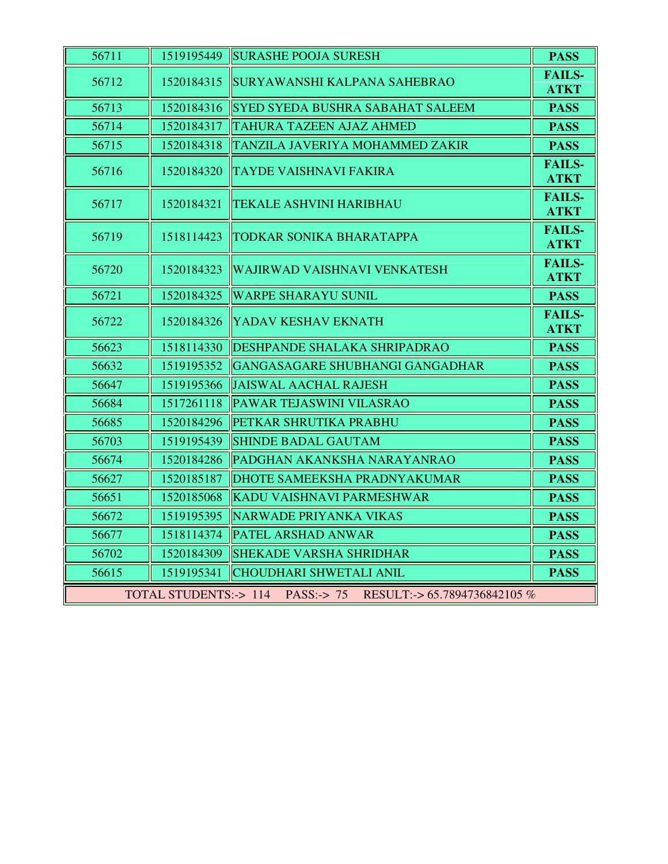| 56711                                                           | 1519195449 | <b>SURASHE POOJA SURESH</b>             | <b>PASS</b>                  |
|-----------------------------------------------------------------|------------|-----------------------------------------|------------------------------|
| 56712                                                           | 1520184315 | SURYAWANSHI KALPANA SAHEBRAO            | <b>FAILS-</b><br><b>ATKT</b> |
| 56713                                                           | 1520184316 | <b>SYED SYEDA BUSHRA SABAHAT SALEEM</b> | <b>PASS</b>                  |
| 56714                                                           | 1520184317 | <b>TAHURA TAZEEN AJAZ AHMED</b>         | <b>PASS</b>                  |
| 56715                                                           | 1520184318 | TANZILA JAVERIYA MOHAMMED ZAKIR         | <b>PASS</b>                  |
| 56716                                                           | 1520184320 | <b>TAYDE VAISHNAVI FAKIRA</b>           | <b>FAILS-</b><br><b>ATKT</b> |
| 56717                                                           | 1520184321 | <b>TEKALE ASHVINI HARIBHAU</b>          | <b>FAILS-</b><br><b>ATKT</b> |
| 56719                                                           | 1518114423 | <b>TODKAR SONIKA BHARATAPPA</b>         | <b>FAILS-</b><br><b>ATKT</b> |
| 56720                                                           | 1520184323 | <b>WAJIRWAD VAISHNAVI VENKATESH</b>     | <b>FAILS-</b><br><b>ATKT</b> |
| 56721                                                           | 1520184325 | <b>WARPE SHARAYU SUNIL</b>              | <b>PASS</b>                  |
| 56722                                                           | 1520184326 | YADAV KESHAV EKNATH                     | <b>FAILS-</b><br><b>ATKT</b> |
| 56623                                                           | 1518114330 | <b>DESHPANDE SHALAKA SHRIPADRAO</b>     | <b>PASS</b>                  |
| 56632                                                           | 1519195352 | GANGASAGARE SHUBHANGI GANGADHAR         | <b>PASS</b>                  |
| 56647                                                           | 1519195366 | JAISWAL AACHAL RAJESH                   | <b>PASS</b>                  |
| 56684                                                           | 1517261118 | PAWAR TEJASWINI VILASRAO                | <b>PASS</b>                  |
| 56685                                                           | 1520184296 | PETKAR SHRUTIKA PRABHU                  | <b>PASS</b>                  |
| 56703                                                           | 1519195439 | <b>SHINDE BADAL GAUTAM</b>              | <b>PASS</b>                  |
| 56674                                                           | 1520184286 | PADGHAN AKANKSHA NARAYANRAO             | <b>PASS</b>                  |
| 56627                                                           | 1520185187 | DHOTE SAMEEKSHA PRADNYAKUMAR            | <b>PASS</b>                  |
| 56651                                                           | 1520185068 | KADU VAISHNAVI PARMESHWAR               | <b>PASS</b>                  |
| 56672                                                           | 1519195395 | NARWADE PRIYANKA VIKAS                  | <b>PASS</b>                  |
| 56677                                                           | 1518114374 | <b>PATEL ARSHAD ANWAR</b>               | <b>PASS</b>                  |
| 56702                                                           | 1520184309 | <b>SHEKADE VARSHA SHRIDHAR</b>          | <b>PASS</b>                  |
| 56615                                                           | 1519195341 | CHOUDHARI SHWETALI ANIL                 | <b>PASS</b>                  |
| TOTAL STUDENTS: > 114 PASS: -> 75 RESULT: -> 65.7894736842105 % |            |                                         |                              |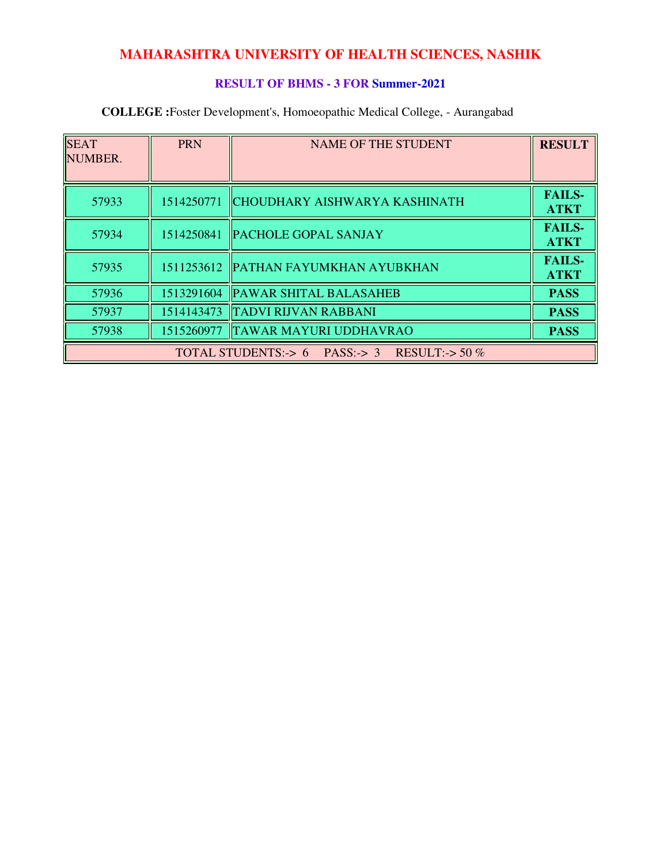### **RESULT OF BHMS - 3 FOR Summer-2021**

| <b>SEAT</b><br>NUMBER. | <b>PRN</b> | <b>NAME OF THE STUDENT</b>                   | <b>RESULT</b>                |
|------------------------|------------|----------------------------------------------|------------------------------|
| 57933                  | 1514250771 | CHOUDHARY AISHWARYA KASHINATH                | <b>FAILS-</b><br><b>ATKT</b> |
| 57934                  | 1514250841 | <b>PACHOLE GOPAL SANJAY</b>                  | <b>FAILS-</b><br><b>ATKT</b> |
| 57935                  |            | 1511253612 PATHAN FAYUMKHAN AYUBKHAN         | <b>FAILS-</b><br><b>ATKT</b> |
| 57936                  | 1513291604 | <b>PAWAR SHITAL BALASAHEB</b>                | <b>PASS</b>                  |
| 57937                  | 1514143473 | <b>TADVI RIJVAN RABBANI</b>                  | <b>PASS</b>                  |
| 57938                  | 1515260977 | <b>TAWAR MAYURI UDDHAVRAO</b>                | <b>PASS</b>                  |
|                        |            | TOTAL STUDENTS:-> 6 PASS:-> 3 RESULT:-> 50 % |                              |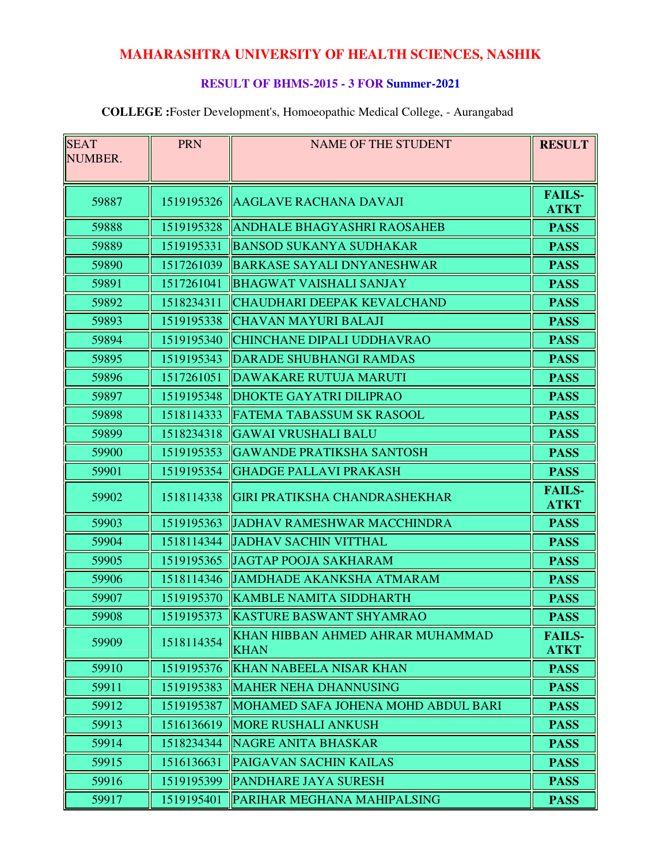### **RESULT OF BHMS-2015 - 3 FOR Summer-2021**

| <b>SEAT</b> | <b>PRN</b> | <b>NAME OF THE STUDENT</b>                      | <b>RESULT</b>                |
|-------------|------------|-------------------------------------------------|------------------------------|
| NUMBER.     |            |                                                 |                              |
|             |            |                                                 |                              |
| 59887       | 1519195326 | AAGLAVE RACHANA DAVAJI                          | <b>FAILS-</b><br><b>ATKT</b> |
| 59888       | 1519195328 | <b>ANDHALE BHAGYASHRI RAOSAHEB</b>              | <b>PASS</b>                  |
| 59889       | 1519195331 | <b>BANSOD SUKANYA SUDHAKAR</b>                  | <b>PASS</b>                  |
| 59890       | 1517261039 | <b>BARKASE SAYALI DNYANESHWAR</b>               | <b>PASS</b>                  |
| 59891       | 1517261041 | <b>BHAGWAT VAISHALI SANJAY</b>                  | <b>PASS</b>                  |
| 59892       | 1518234311 | CHAUDHARI DEEPAK KEVALCHAND                     | <b>PASS</b>                  |
| 59893       | 1519195338 | <b>CHAVAN MAYURI BALAJI</b>                     | <b>PASS</b>                  |
| 59894       | 1519195340 | <b>CHINCHANE DIPALI UDDHAVRAO</b>               | <b>PASS</b>                  |
| 59895       | 1519195343 | <b>DARADE SHUBHANGI RAMDAS</b>                  | <b>PASS</b>                  |
| 59896       | 1517261051 | DAWAKARE RUTUJA MARUTI                          | <b>PASS</b>                  |
| 59897       | 1519195348 | <b>DHOKTE GAYATRI DILIPRAO</b>                  | <b>PASS</b>                  |
| 59898       | 1518114333 | <b>FATEMA TABASSUM SK RASOOL</b>                | <b>PASS</b>                  |
| 59899       | 1518234318 | <b>GAWAI VRUSHALI BALU</b>                      | <b>PASS</b>                  |
| 59900       | 1519195353 | <b>GAWANDE PRATIKSHA SANTOSH</b>                | <b>PASS</b>                  |
| 59901       | 1519195354 | <b>GHADGE PALLAVI PRAKASH</b>                   | <b>PASS</b>                  |
| 59902       | 1518114338 | <b>GIRI PRATIKSHA CHANDRASHEKHAR</b>            | <b>FAILS-</b><br><b>ATKT</b> |
| 59903       | 1519195363 | <b>JADHAV RAMESHWAR MACCHINDRA</b>              | <b>PASS</b>                  |
| 59904       | 1518114344 | <b>JADHAV SACHIN VITTHAL</b>                    | <b>PASS</b>                  |
| 59905       | 1519195365 | <b>JAGTAP POOJA SAKHARAM</b>                    | <b>PASS</b>                  |
| 59906       | 1518114346 | <b>JAMDHADE AKANKSHA ATMARAM</b>                | <b>PASS</b>                  |
| 59907       | 1519195370 | <b>KAMBLE NAMITA SIDDHARTH</b>                  | <b>PASS</b>                  |
| 59908       | 1519195373 | <b>KASTURE BASWANT SHYAMRAO</b>                 | <b>PASS</b>                  |
| 59909       | 1518114354 | KHAN HIBBAN AHMED AHRAR MUHAMMAD<br><b>KHAN</b> | <b>FAILS-</b><br><b>ATKT</b> |
| 59910       | 1519195376 | <b>KHAN NABEELA NISAR KHAN</b>                  | <b>PASS</b>                  |
| 59911       | 1519195383 | <b>MAHER NEHA DHANNUSING</b>                    | <b>PASS</b>                  |
| 59912       | 1519195387 | MOHAMED SAFA JOHENA MOHD ABDUL BARI             | <b>PASS</b>                  |
| 59913       | 1516136619 | <b>MORE RUSHALI ANKUSH</b>                      | <b>PASS</b>                  |
| 59914       | 1518234344 | <b>NAGRE ANITA BHASKAR</b>                      | <b>PASS</b>                  |
| 59915       | 1516136631 | <b>PAIGAVAN SACHIN KAILAS</b>                   | <b>PASS</b>                  |
| 59916       | 1519195399 | <b>PANDHARE JAYA SURESH</b>                     | <b>PASS</b>                  |
| 59917       | 1519195401 | PARIHAR MEGHANA MAHIPALSING                     | <b>PASS</b>                  |